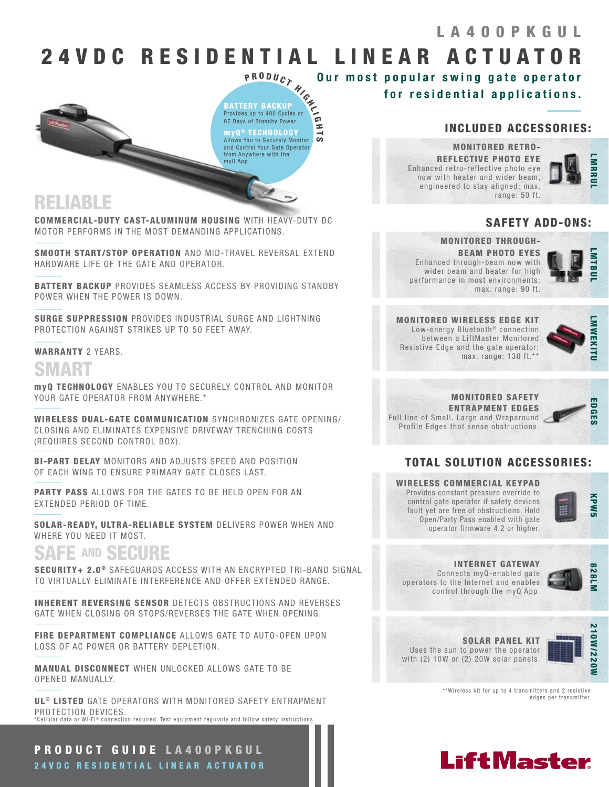## LA400PKGUL

## 24 V D C R E S I D E N T I A L L I N E A R A C T U A T O R

ີ

P <sup>R</sup> <sup>O</sup> <sup>D</sup> <sup>U</sup> <sup>C</sup> <sup>T</sup> <sup>H</sup> <sup>I</sup> <sup>G</sup> <sup>H</sup> <sup>L</sup> I G H T ® TECHNOLOGY BATTERY BACKUP Provides up to 400 Cycles or 97 Days of Standby Power myQ Allows You to Securely Monitor and Control Your Gate Operator from Anywhere with the myQ App

## RELIABLE

COMMERCIAL-DUTY CAST-ALUMINUM HOUSING WITH HEAVY-DUTY DC MOTOR PERFORMS IN THE MOST DEMANDING APPLICATIONS.

SMOOTH START/STOP OPERATION AND MID-TRAVEL REVERSAL EXTEND HARDWARE LIFE OF THE GATE AND OPERATOR.

BATTERY BACKUP PROVIDES SEAMLESS ACCESS BY PROVIDING STANDBY POWER WHEN THE POWER IS DOWN.

SURGE SUPPRESSION PROVIDES INDUSTRIAL SURGE AND LIGHTNING PROTECTION AGAINST STRIKES UP TO 50 FEET AWAY.

#### WARRANTY 2 YEARS.

## SMART

myQ TECHNOLOGY ENABLES YOU TO SECURELY CONTROL AND MONITOR YOUR GATE OPERATOR FROM ANYWHERE.\*

WIRELESS DUAL-GATE COMMUNICATION SYNCHRONIZES GATE OPENING/ CLOSING AND ELIMINATES EXPENSIVE DRIVEWAY TRENCHING COSTS (REQUIRES SECOND CONTROL BOX).

BI-PART DELAY MONITORS AND ADJUSTS SPEED AND POSITION OF EACH WING TO ENSURE PRIMARY GATE CLOSES LAST.

PARTY PASS ALLOWS FOR THE GATES TO BE HELD OPEN FOR AN EXTENDED PERIOD OF TIME.

SOLAR-READY, ULTRA-RELIABLE SYSTEM DELIVERS POWER WHEN AND WHERE YOU NEED IT MOST.

## SAFE AND SECURE

SECURITY+ 2.0<sup>®</sup> SAFEGUARDS ACCESS WITH AN ENCRYPTED TRI-BAND SIGNAL TO VIRTUALLY ELIMINATE INTERFERENCE AND OFFER EXTENDED RANGE.

INHERENT REVERSING SENSOR DETECTS OBSTRUCTIONS AND REVERSES GATE WHEN CLOSING OR STOPS/REVERSES THE GATE WHEN OPENING.

FIRE DEPARTMENT COMPLIANCE ALLOWS GATE TO AUTO-OPEN UPON LOSS OF AC POWER OR BATTERY DEPLETION.

MANUAL DISCONNECT WHEN UNLOCKED ALLOWS GATE TO BE OPENED MANUALLY.

UL<sup>®</sup> LISTED GATE OPERATORS WITH MONITORED SAFETY ENTRAPMENT PROTECTION DEVICES. \*Cellular data or Wi-Fi® connection required. Test equipment requiarly and follow safety instructions.

PRODUCT GUIDE LA400PKGUL 24VDC RESIDENTIAL LINEAR ACTUATOR

### INCLUDED ACCESSORIES:

MONITORED RETRO-REFLECTIVE PHOTO EYE Enhanced retro-reflective photo eye now with heater and wider beam, engineered to stay aligned; max. range: 50 ft.

for residential applications.

Our most popular swing gate operator



### SAFETY ADD-ONS:

### MONITORED THROUGH-BEAM PHOTO EYES

Enhanced through-beam now with wider beam and heater for high performance in most environments; max. range: 90 ft.



MONITORED WIRELESS EDGE KIT Low-energy Bluetooth<sup>®</sup> connection between a LiftMaster Monitored Resistive Edge and the gate operator; max. range: 130 ft.\*\*



MONITORED SAFETY ENTRAPMENT EDGES Full line of Small, Large and Wraparound Profile Edges that sense obstructions.



### TOTAL SOLUTION ACCESSORIES:

WIRELESS COMMERCIAL KEYPAD Provides constant pressure override to control gate operator if safety devices fault yet are free of obstructions. Hold Open/Party Pass enabled with gate operator firmware 4.2 or higher.



## INTERNET GATEWAY

Connects myQ-enabled gate operators to the Internet and enables control through the myQ App.



SOLAR PANEL KIT Uses the sun to power the operator with (2) 10W or (2) 20W solar panels.



\*\*Wireless kit for up to 4 transmitters and 2 resistive edges per transmitter.